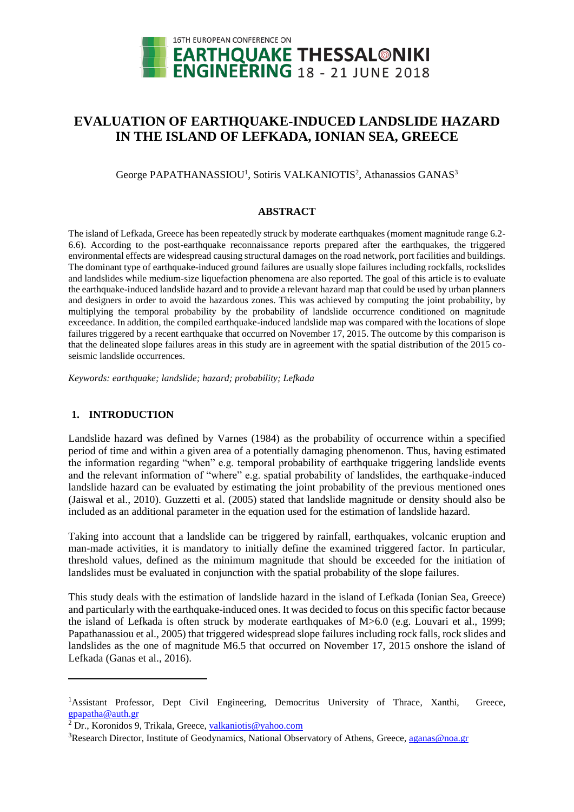

# **EVALUATION OF EARTHQUAKE-INDUCED LANDSLIDE HAZARD IN THE ISLAND OF LEFKADA, IONIAN SEA, GREECE**

George PAPATHANASSIOU<sup>1</sup>, Sotiris VALKANIOTIS<sup>2</sup>, Athanassios GANAS<sup>3</sup>

### **ABSTRACT**

The island of Lefkada, Greece has been repeatedly struck by moderate earthquakes (moment magnitude range 6.2- 6.6). According to the post-earthquake reconnaissance reports prepared after the earthquakes, the triggered environmental effects are widespread causing structural damages on the road network, port facilities and buildings. The dominant type of earthquake-induced ground failures are usually slope failures including rockfalls, rockslides and landslides while medium-size liquefaction phenomena are also reported. The goal of this article is to evaluate the earthquake-induced landslide hazard and to provide a relevant hazard map that could be used by urban planners and designers in order to avoid the hazardous zones. This was achieved by computing the joint probability, by multiplying the temporal probability by the probability of landslide occurrence conditioned on magnitude exceedance. In addition, the compiled earthquake-induced landslide map was compared with the locations of slope failures triggered by a recent earthquake that occurred on November 17, 2015. The outcome by this comparison is that the delineated slope failures areas in this study are in agreement with the spatial distribution of the 2015 coseismic landslide occurrences.

*Keywords: earthquake; landslide; hazard; probability; Lefkada*

### **1. INTRODUCTION**

l

Landslide hazard was defined by Varnes (1984) as the probability of occurrence within a specified period of time and within a given area of a potentially damaging phenomenon. Thus, having estimated the information regarding "when" e.g. temporal probability of earthquake triggering landslide events and the relevant information of "where" e.g. spatial probability of landslides, the earthquake-induced landslide hazard can be evaluated by estimating the joint probability of the previous mentioned ones (Jaiswal et al., 2010). Guzzetti et al. (2005) stated that landslide magnitude or density should also be included as an additional parameter in the equation used for the estimation of landslide hazard.

Taking into account that a landslide can be triggered by rainfall, earthquakes, volcanic eruption and man-made activities, it is mandatory to initially define the examined triggered factor. In particular, threshold values, defined as the minimum magnitude that should be exceeded for the initiation of landslides must be evaluated in conjunction with the spatial probability of the slope failures.

This study deals with the estimation of landslide hazard in the island of Lefkada (Ionian Sea, Greece) and particularly with the earthquake-induced ones. It was decided to focus on this specific factor because the island of Lefkada is often struck by moderate earthquakes of M>6.0 (e.g. Louvari et al., 1999; Papathanassiou et al., 2005) that triggered widespread slope failures including rock falls, rock slides and landslides as the one of magnitude M6.5 that occurred on November 17, 2015 onshore the island of Lefkada (Ganas et al., 2016).

<sup>&</sup>lt;sup>1</sup>Assistant Professor, Dept Civil Engineering, Democritus University of Thrace, Xanthi, Greece, gpapatha@auth.gr

<sup>&</sup>lt;sup>2</sup> Dr., Koronidos 9, Trikala, Greece, [valkaniotis@yahoo.com](mailto:valkaniotis@yahoo.com)

<sup>&</sup>lt;sup>3</sup>Research Director, Institute of Geodynamics, National Observatory of Athens, Greece, [aganas@noa.gr](mailto:aganas@noa.gr)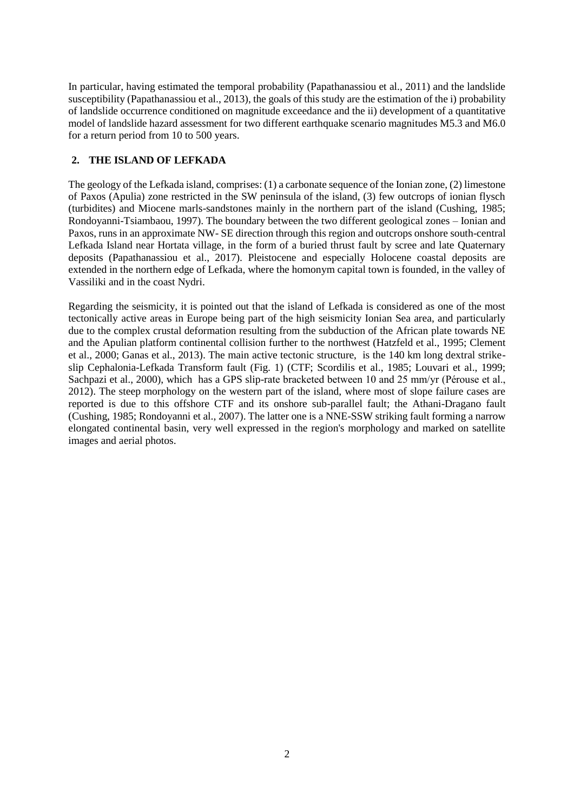In particular, having estimated the temporal probability (Papathanassiou et al., 2011) and the landslide susceptibility (Papathanassiou et al., 2013), the goals of this study are the estimation of the i) probability of landslide occurrence conditioned on magnitude exceedance and the ii) development of a quantitative model of landslide hazard assessment for two different earthquake scenario magnitudes M5.3 and M6.0 for a return period from 10 to 500 years.

# **2. THE ISLAND OF LEFKADA**

The geology of the Lefkada island, comprises: (1) a carbonate sequence of the Ionian zone, (2) limestone of Paxos (Apulia) zone restricted in the SW peninsula of the island, (3) few outcrops of ionian flysch (turbidites) and Miocene marls-sandstones mainly in the northern part of the island (Cushing, 1985; Rondoyanni-Tsiambaou, 1997). The boundary between the two different geological zones – Ionian and Paxos, runs in an approximate NW- SE direction through this region and outcrops onshore south-central Lefkada Island near Hortata village, in the form of a buried thrust fault by scree and late Quaternary deposits (Papathanassiou et al., 2017). Pleistocene and especially Holocene coastal deposits are extended in the northern edge of Lefkada, where the homonym capital town is founded, in the valley of Vassiliki and in the coast Nydri.

Regarding the seismicity, it is pointed out that the island of Lefkada is considered as one of the most tectonically active areas in Europe being part of the high seismicity Ionian Sea area, and particularly due to the complex crustal deformation resulting from the subduction of the African plate towards NE and the Apulian platform continental collision further to the northwest (Hatzfeld et al., 1995; Clement et al., 2000; Ganas et al., 2013). The main active tectonic structure, is the 140 km long dextral strikeslip Cephalonia-Lefkada Transform fault (Fig. 1) (CTF; Scordilis et al., 1985; Louvari et al., 1999; Sachpazi et al., 2000), which has a GPS slip-rate bracketed between 10 and 25 mm/yr (Pérouse et al., 2012). The steep morphology on the western part of the island, where most of slope failure cases are reported is due to this offshore CTF and its onshore sub-parallel fault; the Athani-Dragano fault (Cushing, 1985; Rondoyanni et al., 2007). The latter one is a NNE-SSW striking fault forming a narrow elongated continental basin, very well expressed in the region's morphology and marked on satellite images and aerial photos.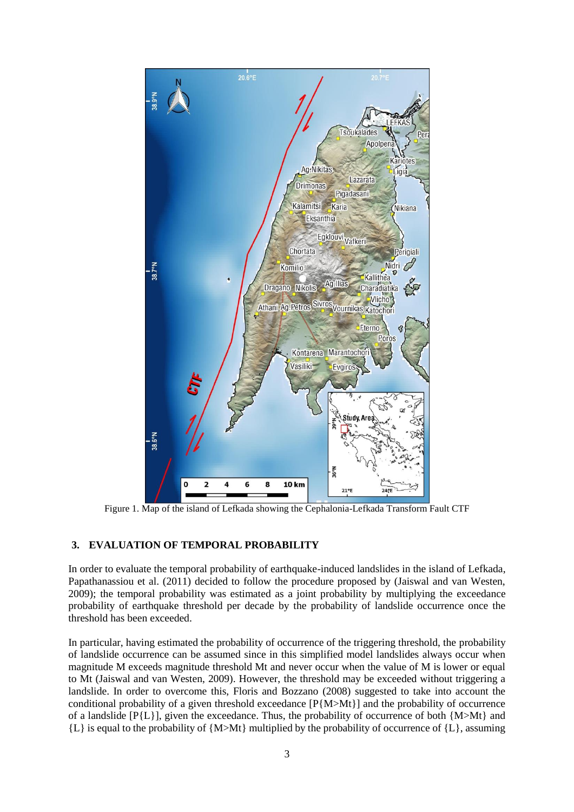

Figure 1. Map of the island of Lefkada showing the Cephalonia-Lefkada Transform Fault CTF

### **3. EVALUATION OF TEMPORAL PROBABILITY**

In order to evaluate the temporal probability of earthquake-induced landslides in the island of Lefkada, Papathanassiou et al. (2011) decided to follow the procedure proposed by (Jaiswal and van Westen, 2009); the temporal probability was estimated as a joint probability by multiplying the exceedance probability of earthquake threshold per decade by the probability of landslide occurrence once the threshold has been exceeded.

In particular, having estimated the probability of occurrence of the triggering threshold, the probability of landslide occurrence can be assumed since in this simplified model landslides always occur when magnitude M exceeds magnitude threshold Mt and never occur when the value of M is lower or equal to Mt (Jaiswal and van Westen, 2009). However, the threshold may be exceeded without triggering a landslide. In order to overcome this, Floris and Bozzano (2008) suggested to take into account the conditional probability of a given threshold exceedance  $[P\{M>M\}]\$  and the probability of occurrence of a landslide [P{L}], given the exceedance. Thus, the probability of occurrence of both {M>Mt} and  ${L}$  is equal to the probability of  ${M>Mt}$  multiplied by the probability of occurrence of  ${L}$ , assuming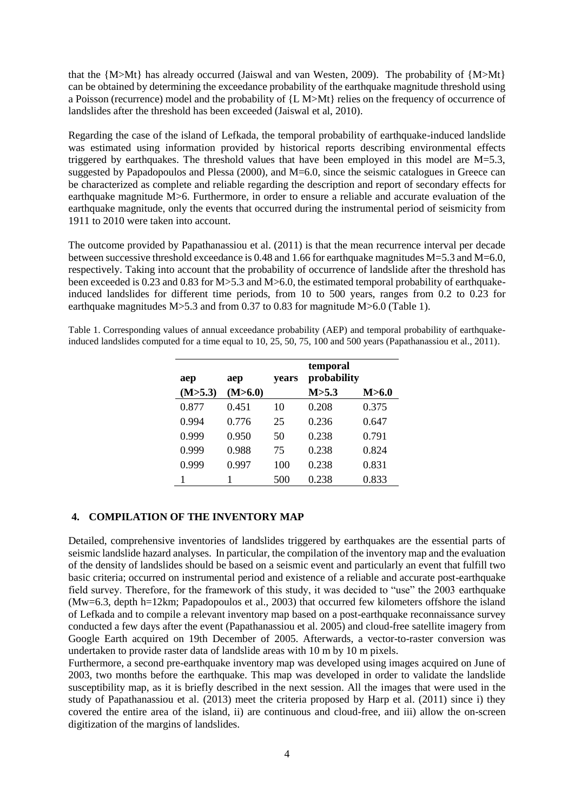that the {M>Mt} has already occurred (Jaiswal and van Westen, 2009). The probability of {M>Mt} can be obtained by determining the exceedance probability of the earthquake magnitude threshold using a Poisson (recurrence) model and the probability of {L M>Mt} relies on the frequency of occurrence of landslides after the threshold has been exceeded (Jaiswal et al, 2010).

Regarding the case of the island of Lefkada, the temporal probability of earthquake-induced landslide was estimated using information provided by historical reports describing environmental effects triggered by earthquakes. The threshold values that have been employed in this model are  $M=5.3$ , suggested by Papadopoulos and Plessa (2000), and M=6.0, since the seismic catalogues in Greece can be characterized as complete and reliable regarding the description and report of secondary effects for earthquake magnitude M>6. Furthermore, in order to ensure a reliable and accurate evaluation of the earthquake magnitude, only the events that occurred during the instrumental period of seismicity from 1911 to 2010 were taken into account.

The outcome provided by Papathanassiou et al. (2011) is that the mean recurrence interval per decade between successive threshold exceedance is 0.48 and 1.66 for earthquake magnitudes M=5.3 and M=6.0, respectively. Taking into account that the probability of occurrence of landslide after the threshold has been exceeded is 0.23 and 0.83 for M>5.3 and M>6.0, the estimated temporal probability of earthquakeinduced landslides for different time periods, from 10 to 500 years, ranges from 0.2 to 0.23 for earthquake magnitudes M>5.3 and from 0.37 to 0.83 for magnitude M>6.0 (Table 1).

Table 1. Corresponding values of annual exceedance probability (AEP) and temporal probability of earthquakeinduced landslides computed for a time equal to 10, 25, 50, 75, 100 and 500 years (Papathanassiou et al., 2011).

| aep     | aep     | years | temporal<br>probability |       |
|---------|---------|-------|-------------------------|-------|
| (M>5.3) | (M>6.0) |       | M > 5.3                 | M>6.0 |
| 0.877   | 0.451   | 10    | 0.208                   | 0.375 |
| 0.994   | 0.776   | 25    | 0.236                   | 0.647 |
| 0.999   | 0.950   | 50    | 0.238                   | 0.791 |
| 0.999   | 0.988   | 75    | 0.238                   | 0.824 |
| 0.999   | 0.997   | 100   | 0.238                   | 0.831 |
|         | 1       | 500   | 0.238                   | 0.833 |

### **4. COMPILATION OF THE INVENTORY MAP**

Detailed, comprehensive inventories of landslides triggered by earthquakes are the essential parts of seismic landslide hazard analyses. In particular, the compilation of the inventory map and the evaluation of the density of landslides should be based on a seismic event and particularly an event that fulfill two basic criteria; occurred on instrumental period and existence of a reliable and accurate post-earthquake field survey. Therefore, for the framework of this study, it was decided to "use" the 2003 earthquake (Mw=6.3, depth h=12km; Papadopoulos et al., 2003) that occurred few kilometers offshore the island of Lefkada and to compile a relevant inventory map based on a post-earthquake reconnaissance survey conducted a few days after the event (Papathanassiou et al. 2005) and cloud-free satellite imagery from Google Earth acquired on 19th December of 2005. Afterwards, a vector-to-raster conversion was undertaken to provide raster data of landslide areas with 10 m by 10 m pixels.

Furthermore, a second pre-earthquake inventory map was developed using images acquired on June of 2003, two months before the earthquake. This map was developed in order to validate the landslide susceptibility map, as it is briefly described in the next session. All the images that were used in the study of Papathanassiou et al. (2013) meet the criteria proposed by Harp et al. (2011) since i) they covered the entire area of the island, ii) are continuous and cloud-free, and iii) allow the on-screen digitization of the margins of landslides.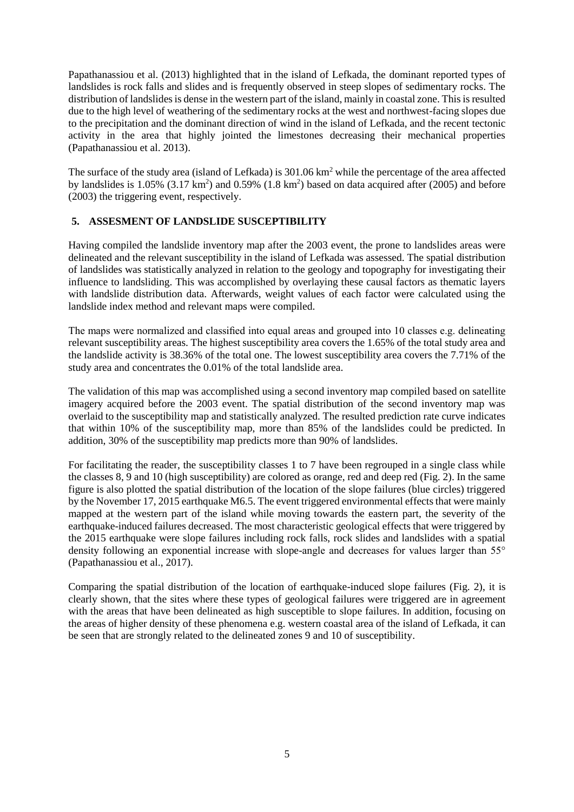Papathanassiou et al. (2013) highlighted that in the island of Lefkada, the dominant reported types of landslides is rock falls and slides and is frequently observed in steep slopes of sedimentary rocks. The distribution of landslides is dense in the western part of the island, mainly in coastal zone. This is resulted due to the high level of weathering of the sedimentary rocks at the west and northwest-facing slopes due to the precipitation and the dominant direction of wind in the island of Lefkada, and the recent tectonic activity in the area that highly jointed the limestones decreasing their mechanical properties (Papathanassiou et al. 2013).

The surface of the study area (island of Lefkada) is 301.06 km<sup>2</sup> while the percentage of the area affected by landslides is  $1.05\%$  (3.17 km<sup>2</sup>) and  $0.59\%$  (1.8 km<sup>2</sup>) based on data acquired after (2005) and before (2003) the triggering event, respectively.

# **5. ASSESMENT OF LANDSLIDE SUSCEPTIBILITY**

Having compiled the landslide inventory map after the 2003 event, the prone to landslides areas were delineated and the relevant susceptibility in the island of Lefkada was assessed. The spatial distribution of landslides was statistically analyzed in relation to the geology and topography for investigating their influence to landsliding. This was accomplished by overlaying these causal factors as thematic layers with landslide distribution data. Afterwards, weight values of each factor were calculated using the landslide index method and relevant maps were compiled.

The maps were normalized and classified into equal areas and grouped into 10 classes e.g. delineating relevant susceptibility areas. The highest susceptibility area covers the 1.65% of the total study area and the landslide activity is 38.36% of the total one. The lowest susceptibility area covers the 7.71% of the study area and concentrates the 0.01% of the total landslide area.

The validation of this map was accomplished using a second inventory map compiled based on satellite imagery acquired before the 2003 event. The spatial distribution of the second inventory map was overlaid to the susceptibility map and statistically analyzed. The resulted prediction rate curve indicates that within 10% of the susceptibility map, more than 85% of the landslides could be predicted. In addition, 30% of the susceptibility map predicts more than 90% of landslides.

For facilitating the reader, the susceptibility classes 1 to 7 have been regrouped in a single class while the classes 8, 9 and 10 (high susceptibility) are colored as orange, red and deep red (Fig. 2). In the same figure is also plotted the spatial distribution of the location of the slope failures (blue circles) triggered by the November 17, 2015 earthquake M6.5. The event triggered environmental effects that were mainly mapped at the western part of the island while moving towards the eastern part, the severity of the earthquake-induced failures decreased. The most characteristic geological effects that were triggered by the 2015 earthquake were slope failures including rock falls, rock slides and landslides with a spatial density following an exponential increase with slope-angle and decreases for values larger than 55° (Papathanassiou et al., 2017).

Comparing the spatial distribution of the location of earthquake-induced slope failures (Fig. 2), it is clearly shown, that the sites where these types of geological failures were triggered are in agreement with the areas that have been delineated as high susceptible to slope failures. In addition, focusing on the areas of higher density of these phenomena e.g. western coastal area of the island of Lefkada, it can be seen that are strongly related to the delineated zones 9 and 10 of susceptibility.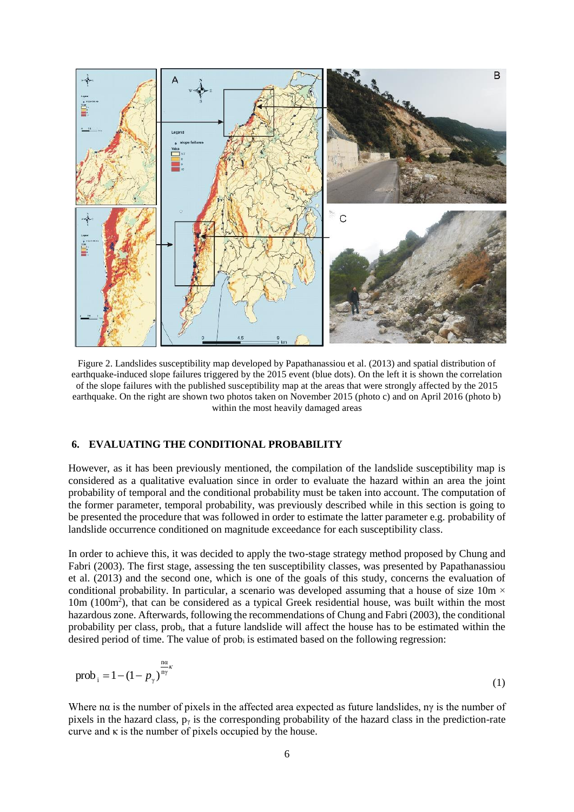

Figure 2. Landslides susceptibility map developed by Papathanassiou et al. (2013) and spatial distribution of earthquake-induced slope failures triggered by the 2015 event (blue dots). On the left it is shown the correlation of the slope failures with the published susceptibility map at the areas that were strongly affected by the 2015 earthquake. On the right are shown two photos taken on November 2015 (photo c) and on April 2016 (photo b) within the most heavily damaged areas

### **6. EVALUATING THE CONDITIONAL PROBABILITY**

However, as it has been previously mentioned, the compilation of the landslide susceptibility map is considered as a qualitative evaluation since in order to evaluate the hazard within an area the joint probability of temporal and the conditional probability must be taken into account. The computation of the former parameter, temporal probability, was previously described while in this section is going to be presented the procedure that was followed in order to estimate the latter parameter e.g. probability of landslide occurrence conditioned on magnitude exceedance for each susceptibility class.

In order to achieve this, it was decided to apply the two-stage strategy method proposed by Chung and Fabri (2003). The first stage, assessing the ten susceptibility classes, was presented by Papathanassiou et al. (2013) and the second one, which is one of the goals of this study, concerns the evaluation of conditional probability. In particular, a scenario was developed assuming that a house of size 10m  $\times$ 10m (100m<sup>2</sup> ), that can be considered as a typical Greek residential house, was built within the most hazardous zone. Afterwards, following the recommendations of Chung and Fabri (2003), the conditional probability per class, probi, that a future landslide will affect the house has to be estimated within the desired period of time. The value of prob<sub>i</sub> is estimated based on the following regression:

$$
prob_{i} = 1 - (1 - p_{\gamma})^{\frac{n\alpha}{n\gamma}}
$$
(1)

Where n $\alpha$  is the number of pixels in the affected area expected as future landslides, ny is the number of pixels in the hazard class,  $p_y$  is the corresponding probability of the hazard class in the prediction-rate curve and  $\kappa$  is the number of pixels occupied by the house.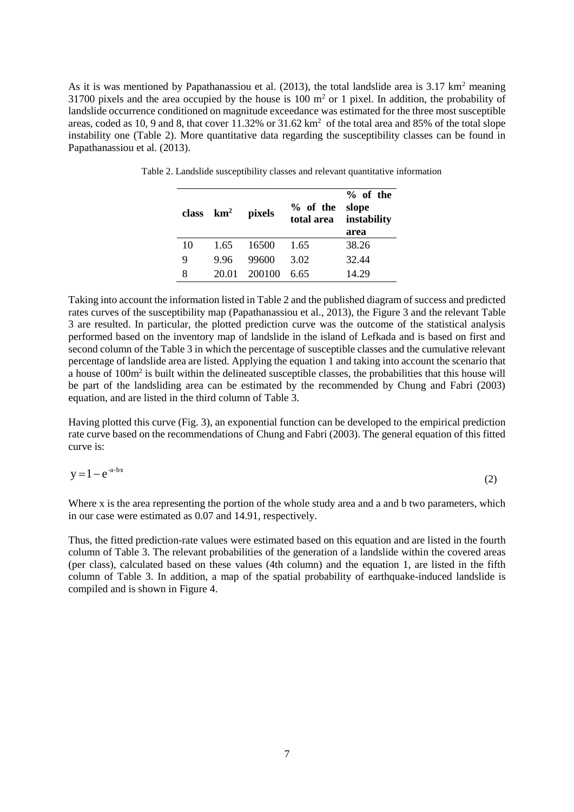As it is was mentioned by Papathanassiou et al.  $(2013)$ , the total landslide area is 3.17 km<sup>2</sup> meaning 31700 pixels and the area occupied by the house is 100 m<sup>2</sup> or 1 pixel. In addition, the probability of landslide occurrence conditioned on magnitude exceedance was estimated for the three most susceptible areas, coded as 10, 9 and 8, that cover  $11.32\%$  or  $31.62 \text{ km}^2$  of the total area and 85% of the total slope instability one (Table 2). More quantitative data regarding the susceptibility classes can be found in Papathanassiou et al. (2013).

|    | class $km^2$ | pixels | $%$ of the | % of the<br>slope<br>total area instability<br>area |
|----|--------------|--------|------------|-----------------------------------------------------|
| 10 | 1.65         | 16500  | 1.65       | 38.26                                               |
| 9  | 996          | 99600  | 3.02       | 32.44                                               |
| 8  | 20.01        | 200100 | 6.65       | 14.29                                               |

Table 2. Landslide susceptibility classes and relevant quantitative information

Taking into account the information listed in Table 2 and the published diagram of success and predicted rates curves of the susceptibility map (Papathanassiou et al., 2013), the Figure 3 and the relevant Table 3 are resulted. In particular, the plotted prediction curve was the outcome of the statistical analysis performed based on the inventory map of landslide in the island of Lefkada and is based on first and second column of the Table 3 in which the percentage of susceptible classes and the cumulative relevant percentage of landslide area are listed. Applying the equation 1 and taking into account the scenario that a house of 100m<sup>2</sup> is built within the delineated susceptible classes, the probabilities that this house will be part of the landsliding area can be estimated by the recommended by Chung and Fabri (2003) equation, and are listed in the third column of Table 3.

Having plotted this curve (Fig. 3), an exponential function can be developed to the empirical prediction rate curve based on the recommendations of Chung and Fabri (2003). The general equation of this fitted curve is:

$$
y = 1 - e^{-a - bx} \tag{2}
$$

Where x is the area representing the portion of the whole study area and a and b two parameters, which in our case were estimated as 0.07 and 14.91, respectively.

Thus, the fitted prediction-rate values were estimated based on this equation and are listed in the fourth column of Table 3. The relevant probabilities of the generation of a landslide within the covered areas (per class), calculated based on these values (4th column) and the equation 1, are listed in the fifth column of Table 3. In addition, a map of the spatial probability of earthquake-induced landslide is compiled and is shown in Figure 4.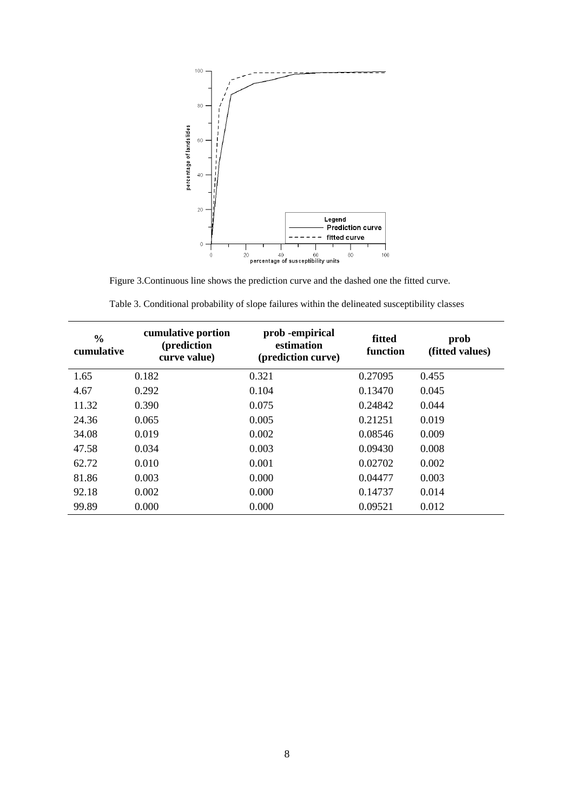

Figure 3.Continuous line shows the prediction curve and the dashed one the fitted curve.

| $\frac{0}{0}$<br>cumulative | cumulative portion<br>(prediction<br>curve value) | prob - empirical<br>estimation<br>(prediction curve) | fitted<br>function | prob<br>(fitted values) |
|-----------------------------|---------------------------------------------------|------------------------------------------------------|--------------------|-------------------------|
| 1.65                        | 0.182                                             | 0.321                                                | 0.27095            | 0.455                   |
| 4.67                        | 0.292                                             | 0.104                                                | 0.13470            | 0.045                   |
| 11.32                       | 0.390                                             | 0.075                                                | 0.24842            | 0.044                   |
| 24.36                       | 0.065                                             | 0.005                                                | 0.21251            | 0.019                   |
| 34.08                       | 0.019                                             | 0.002                                                | 0.08546            | 0.009                   |
| 47.58                       | 0.034                                             | 0.003                                                | 0.09430            | 0.008                   |
| 62.72                       | 0.010                                             | 0.001                                                | 0.02702            | 0.002                   |
| 81.86                       | 0.003                                             | 0.000                                                | 0.04477            | 0.003                   |
| 92.18                       | 0.002                                             | 0.000                                                | 0.14737            | 0.014                   |
| 99.89                       | 0.000                                             | 0.000                                                | 0.09521            | 0.012                   |

Table 3. Conditional probability of slope failures within the delineated susceptibility classes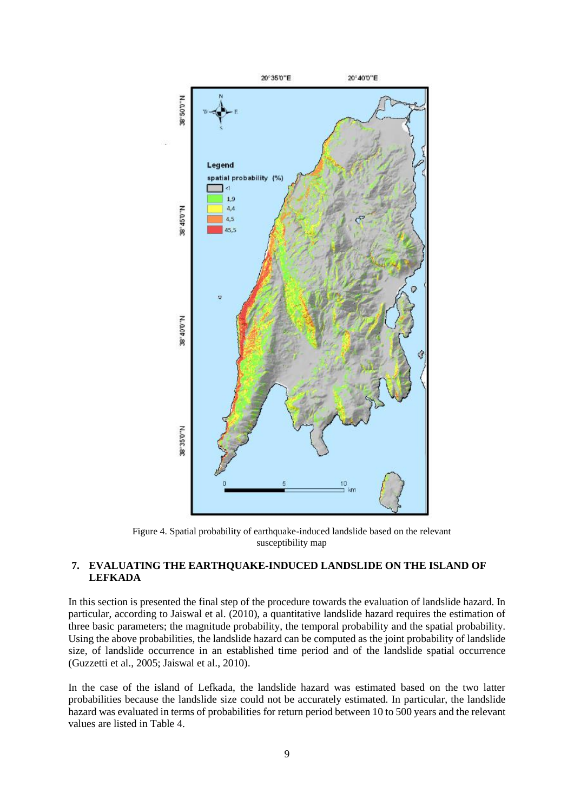

Figure 4. Spatial probability of earthquake-induced landslide based on the relevant susceptibility map

## **7. EVALUATING THE EARTHQUAKE-INDUCED LANDSLIDE ON THE ISLAND OF LEFKADA**

In this section is presented the final step of the procedure towards the evaluation of landslide hazard. In particular, according to Jaiswal et al. (2010), a quantitative landslide hazard requires the estimation of three basic parameters; the magnitude probability, the temporal probability and the spatial probability. Using the above probabilities, the landslide hazard can be computed as the joint probability of landslide size, of landslide occurrence in an established time period and of the landslide spatial occurrence (Guzzetti et al., 2005; Jaiswal et al., 2010).

In the case of the island of Lefkada, the landslide hazard was estimated based on the two latter probabilities because the landslide size could not be accurately estimated. In particular, the landslide hazard was evaluated in terms of probabilities for return period between 10 to 500 years and the relevant values are listed in Table 4.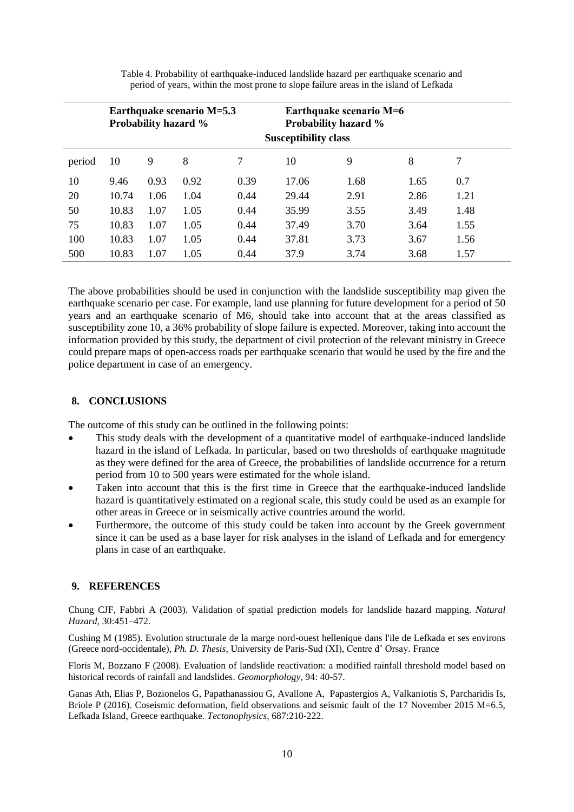|        | Earthquake scenario M=5.3<br><b>Probability hazard %</b> |      |      |      |       | Earthquake scenario M=6<br><b>Probability hazard %</b><br><b>Susceptibility class</b> |      |      |
|--------|----------------------------------------------------------|------|------|------|-------|---------------------------------------------------------------------------------------|------|------|
| period | 10                                                       | 9    | 8    | 7    | 10    | 9                                                                                     | 8    | 7    |
| 10     | 9.46                                                     | 0.93 | 0.92 | 0.39 | 17.06 | 1.68                                                                                  | 1.65 | 0.7  |
| 20     | 10.74                                                    | 1.06 | 1.04 | 0.44 | 29.44 | 2.91                                                                                  | 2.86 | 1.21 |
| 50     | 10.83                                                    | 1.07 | 1.05 | 0.44 | 35.99 | 3.55                                                                                  | 3.49 | 1.48 |
| 75     | 10.83                                                    | 1.07 | 1.05 | 0.44 | 37.49 | 3.70                                                                                  | 3.64 | 1.55 |
| 100    | 10.83                                                    | 1.07 | 1.05 | 0.44 | 37.81 | 3.73                                                                                  | 3.67 | 1.56 |
| 500    | 10.83                                                    | 1.07 | 1.05 | 0.44 | 37.9  | 3.74                                                                                  | 3.68 | 1.57 |

Table 4. Probability of earthquake-induced landslide hazard per earthquake scenario and period of years, within the most prone to slope failure areas in the island of Lefkada

The above probabilities should be used in conjunction with the landslide susceptibility map given the earthquake scenario per case. For example, land use planning for future development for a period of 50 years and an earthquake scenario of M6, should take into account that at the areas classified as susceptibility zone 10, a 36% probability of slope failure is expected. Moreover, taking into account the information provided by this study, the department of civil protection of the relevant ministry in Greece could prepare maps of open-access roads per earthquake scenario that would be used by the fire and the police department in case of an emergency.

## **8. CONCLUSIONS**

The outcome of this study can be outlined in the following points:

- This study deals with the development of a quantitative model of earthquake-induced landslide hazard in the island of Lefkada. In particular, based on two thresholds of earthquake magnitude as they were defined for the area of Greece, the probabilities of landslide occurrence for a return period from 10 to 500 years were estimated for the whole island.
- Taken into account that this is the first time in Greece that the earthquake-induced landslide hazard is quantitatively estimated on a regional scale, this study could be used as an example for other areas in Greece or in seismically active countries around the world.
- Furthermore, the outcome of this study could be taken into account by the Greek government since it can be used as a base layer for risk analyses in the island of Lefkada and for emergency plans in case of an earthquake.

### **9. REFERENCES**

Chung CJF, Fabbri A (2003). Validation of spatial prediction models for landslide hazard mapping. *Natural Hazard*, 30:451–472.

Cushing M (1985). Evolution structurale de la marge nord-ouest hellenique dans l'ile de Lefkada et ses environs (Greece nord-occidentale), *Ph. D. Thesis*, University de Paris-Sud (XI), Centre d' Orsay. France

Floris M, Bozzano F (2008). Evaluation of landslide reactivation: a modified rainfall threshold model based on historical records of rainfall and landslides. *Geomorphology*, 94: 40-57.

Ganas Ath, Elias P, Bozionelos G, Papathanassiou G, Avallone A, Papastergios A, Valkaniotis S, Parcharidis Is, Briole P (2016). Coseismic deformation, field observations and seismic fault of the 17 November 2015 M=6.5, Lefkada Island, Greece earthquake. *Tectonophysics*, 687:210-222.